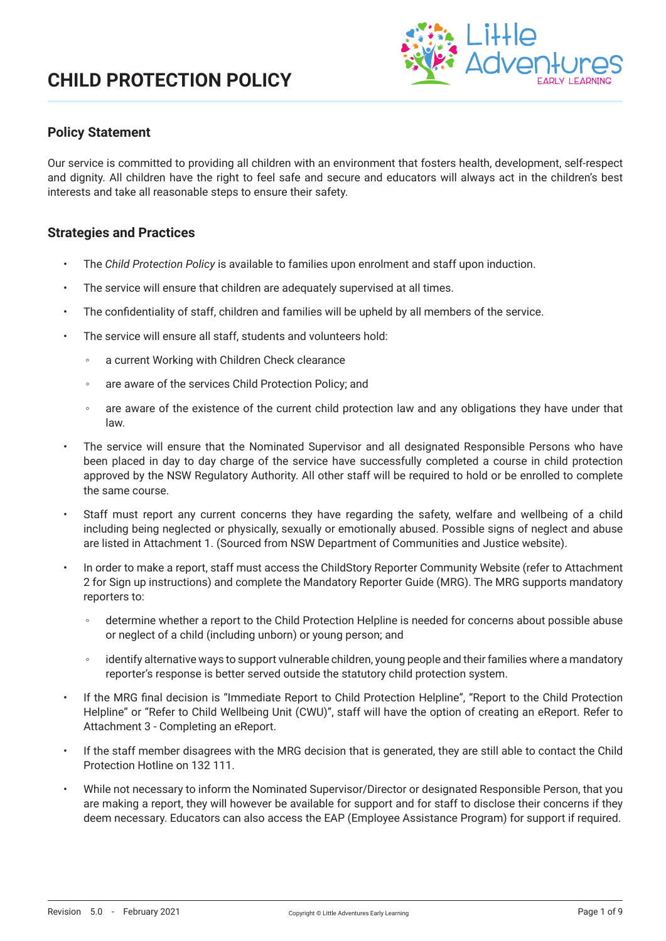

## **Policy Statement**

Our service is committed to providing all children with an environment that fosters health, development, self-respect and dignity. All children have the right to feel safe and secure and educators will always act in the children's best interests and take all reasonable steps to ensure their safety.

### **Strategies and Practices**

- The *Child Protection Policy* is available to families upon enrolment and staff upon induction.
- The service will ensure that children are adequately supervised at all times.
- The confidentiality of staff, children and families will be upheld by all members of the service.
- The service will ensure all staff, students and volunteers hold:
	- a current Working with Children Check clearance
	- are aware of the services Child Protection Policy; and
	- are aware of the existence of the current child protection law and any obligations they have under that law.
- The service will ensure that the Nominated Supervisor and all designated Responsible Persons who have been placed in day to day charge of the service have successfully completed a course in child protection approved by the NSW Regulatory Authority. All other staff will be required to hold or be enrolled to complete the same course.
- Staff must report any current concerns they have regarding the safety, welfare and wellbeing of a child including being neglected or physically, sexually or emotionally abused. Possible signs of neglect and abuse are listed in Attachment 1. (Sourced from NSW Department of Communities and Justice website).
- In order to make a report, staff must access the ChildStory Reporter Community Website (refer to Attachment 2 for Sign up instructions) and complete the Mandatory Reporter Guide (MRG). The MRG supports mandatory reporters to:
	- determine whether a report to the Child Protection Helpline is needed for concerns about possible abuse or neglect of a child (including unborn) or young person; and
	- identify alternative ways to support vulnerable children, young people and their families where a mandatory reporter's response is better served outside the statutory child protection system.
- If the MRG final decision is "Immediate Report to Child Protection Helpline", "Report to the Child Protection Helpline" or "Refer to Child Wellbeing Unit (CWU)", staff will have the option of creating an eReport. Refer to Attachment 3 - Completing an eReport.
- If the staff member disagrees with the MRG decision that is generated, they are still able to contact the Child Protection Hotline on 132 111.
- While not necessary to inform the Nominated Supervisor/Director or designated Responsible Person, that you are making a report, they will however be available for support and for staff to disclose their concerns if they deem necessary. Educators can also access the EAP (Employee Assistance Program) for support if required.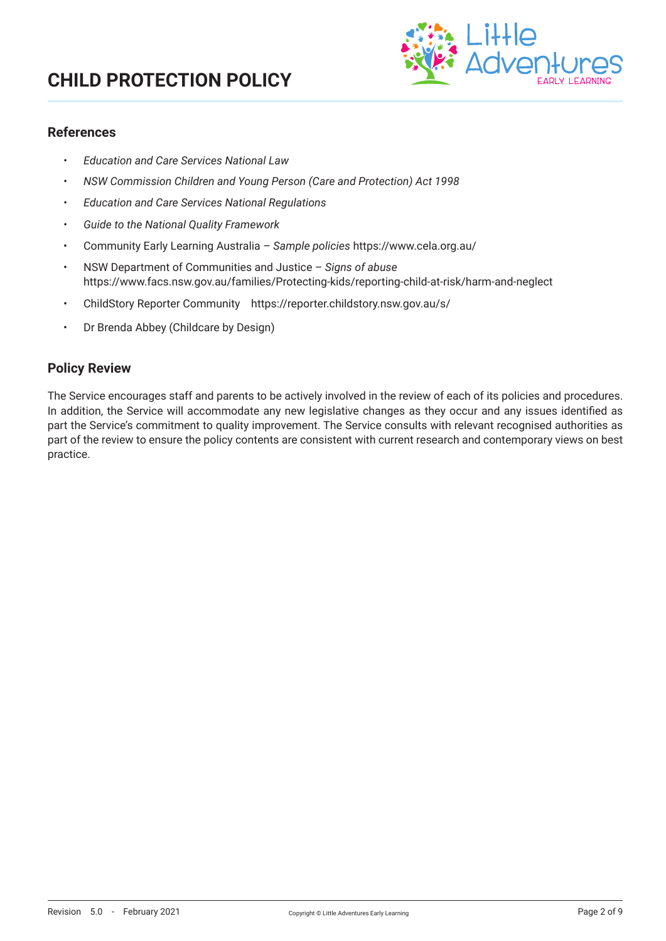

### **References**

- *• Education and Care Services National Law*
- *• NSW Commission Children and Young Person (Care and Protection) Act 1998*
- *• Education and Care Services National Regulations*
- *• Guide to the National Quality Framework*
- Community Early Learning Australia *Sample policies* https://www.cela.org.au/
- NSW Department of Communities and Justice *Signs of abuse* https://www.facs.nsw.gov.au/families/Protecting-kids/reporting-child-at-risk/harm-and-neglect
- ChildStory Reporter Community https://reporter.childstory.nsw.gov.au/s/
- Dr Brenda Abbey (Childcare by Design)

### **Policy Review**

The Service encourages staff and parents to be actively involved in the review of each of its policies and procedures. In addition, the Service will accommodate any new legislative changes as they occur and any issues identified as part the Service's commitment to quality improvement. The Service consults with relevant recognised authorities as part of the review to ensure the policy contents are consistent with current research and contemporary views on best practice.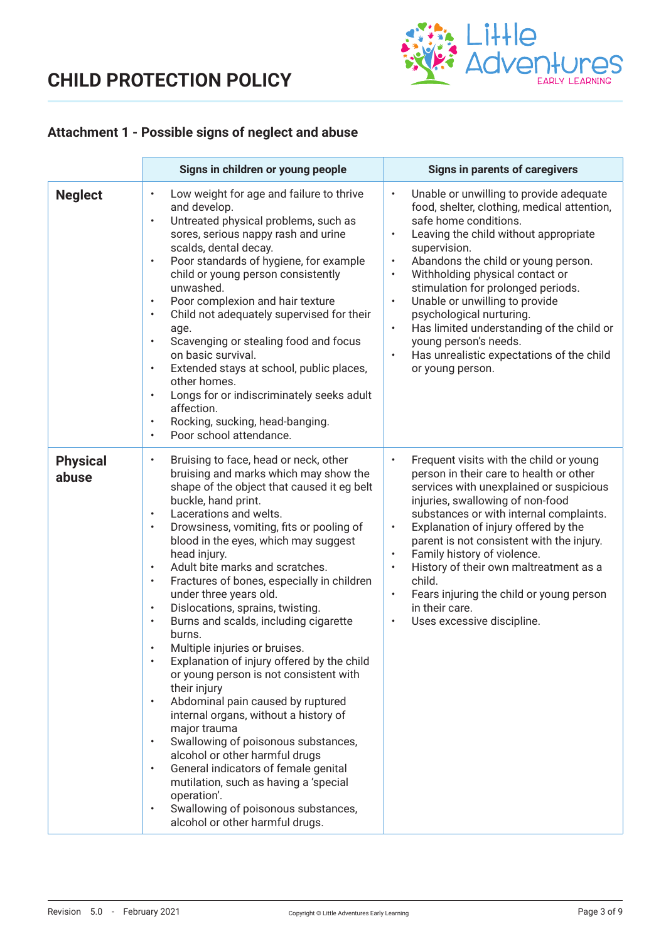

## **Attachment 1 - Possible signs of neglect and abuse**

|                          | Signs in children or young people                                                                                                                                                                                                                                                                                                                                                                                                                                                                                                                                                                                                                                                                                                                                                                                                                                                                                                                                                                                                                                                                                                         | <b>Signs in parents of caregivers</b>                                                                                                                                                                                                                                                                                                                                                                                                                                                                                                                                                    |
|--------------------------|-------------------------------------------------------------------------------------------------------------------------------------------------------------------------------------------------------------------------------------------------------------------------------------------------------------------------------------------------------------------------------------------------------------------------------------------------------------------------------------------------------------------------------------------------------------------------------------------------------------------------------------------------------------------------------------------------------------------------------------------------------------------------------------------------------------------------------------------------------------------------------------------------------------------------------------------------------------------------------------------------------------------------------------------------------------------------------------------------------------------------------------------|------------------------------------------------------------------------------------------------------------------------------------------------------------------------------------------------------------------------------------------------------------------------------------------------------------------------------------------------------------------------------------------------------------------------------------------------------------------------------------------------------------------------------------------------------------------------------------------|
| <b>Neglect</b>           | Low weight for age and failure to thrive<br>$\bullet$<br>and develop.<br>Untreated physical problems, such as<br>$\bullet$<br>sores, serious nappy rash and urine<br>scalds, dental decay.<br>Poor standards of hygiene, for example<br>$\bullet$<br>child or young person consistently<br>unwashed.<br>Poor complexion and hair texture<br>$\bullet$<br>Child not adequately supervised for their<br>$\bullet$<br>age.<br>Scavenging or stealing food and focus<br>$\bullet$<br>on basic survival.<br>Extended stays at school, public places,<br>$\bullet$<br>other homes.<br>Longs for or indiscriminately seeks adult<br>$\bullet$<br>affection.<br>Rocking, sucking, head-banging.<br>$\bullet$<br>Poor school attendance.<br>$\bullet$                                                                                                                                                                                                                                                                                                                                                                                              | Unable or unwilling to provide adequate<br>$\bullet$<br>food, shelter, clothing, medical attention,<br>safe home conditions.<br>Leaving the child without appropriate<br>$\bullet$<br>supervision.<br>Abandons the child or young person.<br>$\bullet$<br>Withholding physical contact or<br>$\bullet$<br>stimulation for prolonged periods.<br>Unable or unwilling to provide<br>$\bullet$<br>psychological nurturing.<br>Has limited understanding of the child or<br>$\bullet$<br>young person's needs.<br>Has unrealistic expectations of the child<br>$\bullet$<br>or young person. |
| <b>Physical</b><br>abuse | Bruising to face, head or neck, other<br>$\bullet$<br>bruising and marks which may show the<br>shape of the object that caused it eg belt<br>buckle, hand print.<br>Lacerations and welts.<br>$\bullet$<br>Drowsiness, vomiting, fits or pooling of<br>$\bullet$<br>blood in the eyes, which may suggest<br>head injury.<br>Adult bite marks and scratches.<br>$\bullet$<br>Fractures of bones, especially in children<br>$\bullet$<br>under three years old.<br>Dislocations, sprains, twisting.<br>$\bullet$<br>Burns and scalds, including cigarette<br>$\bullet$<br>burns.<br>Multiple injuries or bruises.<br>$\bullet$<br>Explanation of injury offered by the child<br>or young person is not consistent with<br>their injury<br>Abdominal pain caused by ruptured<br>$\bullet$<br>internal organs, without a history of<br>major trauma<br>Swallowing of poisonous substances,<br>$\bullet$<br>alcohol or other harmful drugs<br>General indicators of female genital<br>$\bullet$<br>mutilation, such as having a 'special<br>operation'.<br>Swallowing of poisonous substances,<br>$\bullet$<br>alcohol or other harmful drugs. | Frequent visits with the child or young<br>$\bullet$<br>person in their care to health or other<br>services with unexplained or suspicious<br>injuries, swallowing of non-food<br>substances or with internal complaints.<br>Explanation of injury offered by the<br>$\bullet$<br>parent is not consistent with the injury.<br>Family history of violence.<br>$\bullet$<br>History of their own maltreatment as a<br>$\bullet$<br>child.<br>Fears injuring the child or young person<br>$\bullet$<br>in their care.<br>Uses excessive discipline.<br>$\bullet$                           |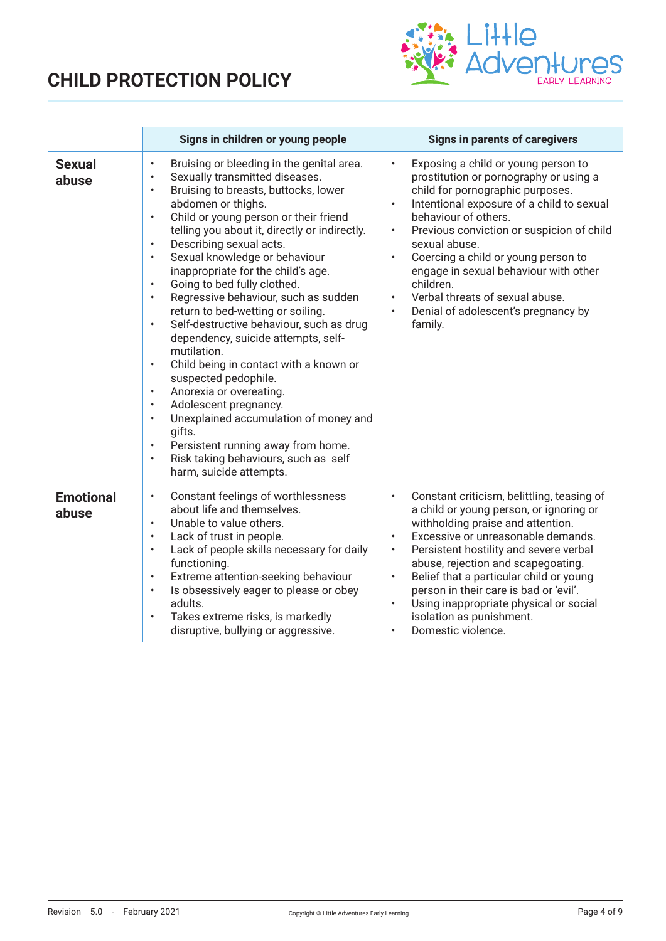

|                           | Signs in children or young people                                                                                                                                                                                                                                                                                                                                                                                                                                                                                                                                                                                                                                                                                                                                                                                                                                                                                                                                                                                                        | <b>Signs in parents of caregivers</b>                                                                                                                                                                                                                                                                                                                                                                                                                                                                           |
|---------------------------|------------------------------------------------------------------------------------------------------------------------------------------------------------------------------------------------------------------------------------------------------------------------------------------------------------------------------------------------------------------------------------------------------------------------------------------------------------------------------------------------------------------------------------------------------------------------------------------------------------------------------------------------------------------------------------------------------------------------------------------------------------------------------------------------------------------------------------------------------------------------------------------------------------------------------------------------------------------------------------------------------------------------------------------|-----------------------------------------------------------------------------------------------------------------------------------------------------------------------------------------------------------------------------------------------------------------------------------------------------------------------------------------------------------------------------------------------------------------------------------------------------------------------------------------------------------------|
| <b>Sexual</b><br>abuse    | Bruising or bleeding in the genital area.<br>$\bullet$<br>Sexually transmitted diseases.<br>$\bullet$<br>Bruising to breasts, buttocks, lower<br>$\bullet$<br>abdomen or thighs.<br>Child or young person or their friend<br>$\bullet$<br>telling you about it, directly or indirectly.<br>Describing sexual acts.<br>$\bullet$<br>Sexual knowledge or behaviour<br>$\bullet$<br>inappropriate for the child's age.<br>Going to bed fully clothed.<br>$\bullet$<br>Regressive behaviour, such as sudden<br>$\bullet$<br>return to bed-wetting or soiling.<br>Self-destructive behaviour, such as drug<br>$\bullet$<br>dependency, suicide attempts, self-<br>mutilation.<br>Child being in contact with a known or<br>$\bullet$<br>suspected pedophile.<br>Anorexia or overeating.<br>$\bullet$<br>Adolescent pregnancy.<br>$\bullet$<br>Unexplained accumulation of money and<br>$\bullet$<br>gifts.<br>Persistent running away from home.<br>$\bullet$<br>Risk taking behaviours, such as self<br>$\bullet$<br>harm, suicide attempts. | Exposing a child or young person to<br>$\bullet$<br>prostitution or pornography or using a<br>child for pornographic purposes.<br>Intentional exposure of a child to sexual<br>behaviour of others.<br>Previous conviction or suspicion of child<br>sexual abuse.<br>Coercing a child or young person to<br>$\bullet$<br>engage in sexual behaviour with other<br>children.<br>Verbal threats of sexual abuse.<br>Denial of adolescent's pregnancy by<br>family.                                                |
| <b>Emotional</b><br>abuse | Constant feelings of worthlessness<br>$\bullet$<br>about life and themselves.<br>Unable to value others.<br>$\bullet$<br>Lack of trust in people.<br>$\bullet$<br>Lack of people skills necessary for daily<br>$\bullet$<br>functioning.<br>Extreme attention-seeking behaviour<br>$\bullet$<br>Is obsessively eager to please or obey<br>$\bullet$<br>adults.<br>Takes extreme risks, is markedly<br>$\bullet$<br>disruptive, bullying or aggressive.                                                                                                                                                                                                                                                                                                                                                                                                                                                                                                                                                                                   | Constant criticism, belittling, teasing of<br>$\bullet$<br>a child or young person, or ignoring or<br>withholding praise and attention.<br>Excessive or unreasonable demands.<br>$\bullet$<br>Persistent hostility and severe verbal<br>$\bullet$<br>abuse, rejection and scapegoating.<br>Belief that a particular child or young<br>$\bullet$<br>person in their care is bad or 'evil'.<br>Using inappropriate physical or social<br>$\bullet$<br>isolation as punishment.<br>Domestic violence.<br>$\bullet$ |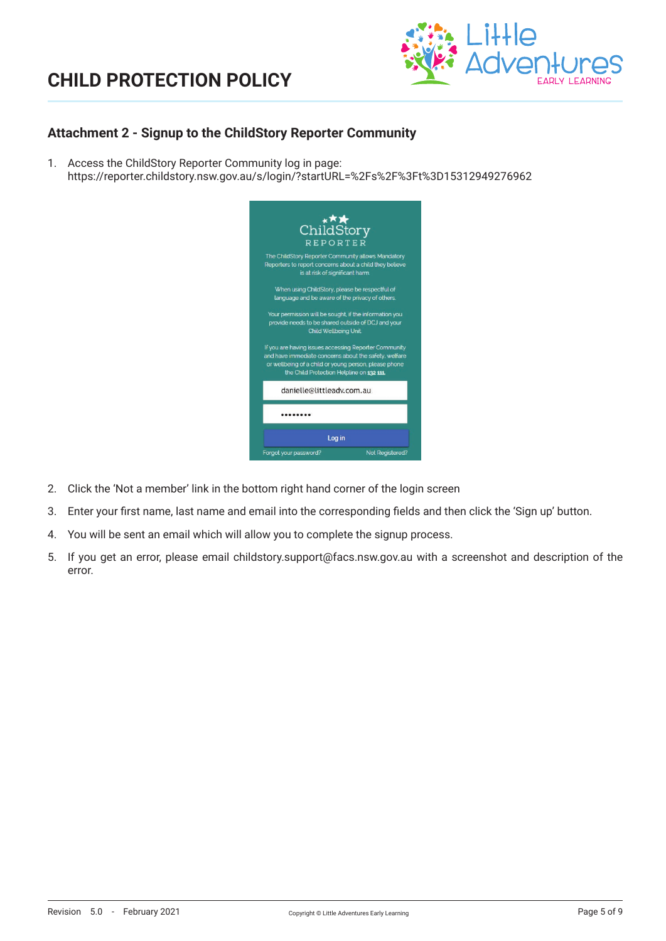

## **Attachment 2 - Signup to the ChildStory Reporter Community**

1. Access the ChildStory Reporter Community log in page: https://reporter.childstory.nsw.gov.au/s/login/?startURL=%2Fs%2F%3Ft%3D15312949276962



- 2. Click the 'Not a member' link in the bottom right hand corner of the login screen
- 3. Enter your first name, last name and email into the corresponding fields and then click the 'Sign up' button.
- 4. You will be sent an email which will allow you to complete the signup process.
- 5. If you get an error, please email childstory.support@facs.nsw.gov.au with a screenshot and description of the error.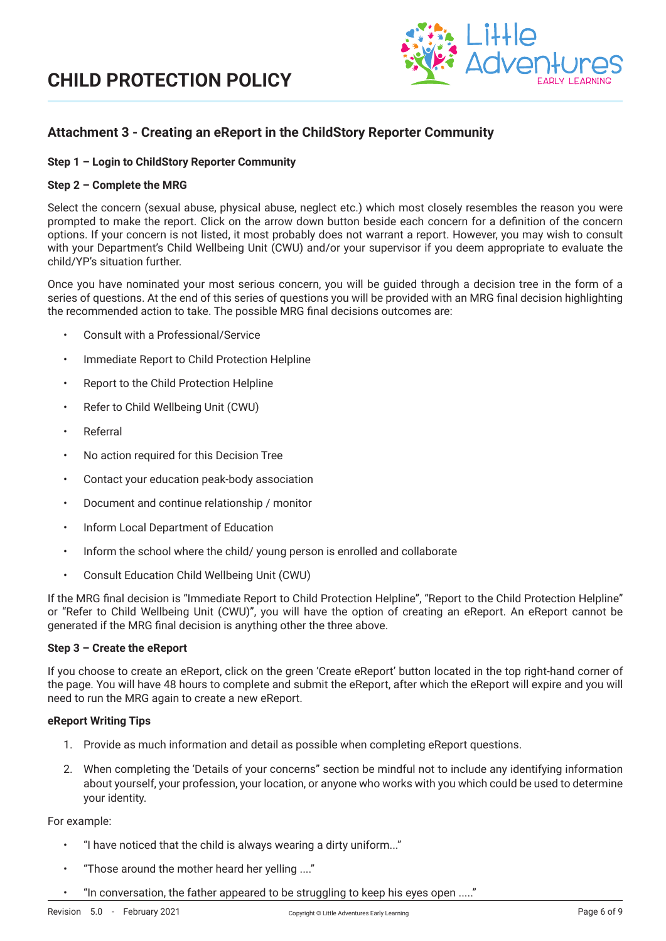

## **Attachment 3 - Creating an eReport in the ChildStory Reporter Community**

### **Step 1 – Login to ChildStory Reporter Community**

#### **Step 2 – Complete the MRG**

Select the concern (sexual abuse, physical abuse, neglect etc.) which most closely resembles the reason you were prompted to make the report. Click on the arrow down button beside each concern for a definition of the concern options. If your concern is not listed, it most probably does not warrant a report. However, you may wish to consult with your Department's Child Wellbeing Unit (CWU) and/or your supervisor if you deem appropriate to evaluate the child/YP's situation further.

Once you have nominated your most serious concern, you will be guided through a decision tree in the form of a series of questions. At the end of this series of questions you will be provided with an MRG final decision highlighting the recommended action to take. The possible MRG final decisions outcomes are:

- Consult with a Professional/Service
- Immediate Report to Child Protection Helpline
- Report to the Child Protection Helpline
- Refer to Child Wellbeing Unit (CWU)
- Referral
- No action required for this Decision Tree
- Contact your education peak-body association
- Document and continue relationship / monitor
- Inform Local Department of Education
- Inform the school where the child/ young person is enrolled and collaborate
- Consult Education Child Wellbeing Unit (CWU)

If the MRG final decision is "Immediate Report to Child Protection Helpline", "Report to the Child Protection Helpline" or "Refer to Child Wellbeing Unit (CWU)", you will have the option of creating an eReport. An eReport cannot be generated if the MRG final decision is anything other the three above.

### **Step 3 – Create the eReport**

If you choose to create an eReport, click on the green 'Create eReport' button located in the top right-hand corner of the page. You will have 48 hours to complete and submit the eReport, after which the eReport will expire and you will need to run the MRG again to create a new eReport.

#### **eReport Writing Tips**

- 1. Provide as much information and detail as possible when completing eReport questions.
- 2. When completing the 'Details of your concerns" section be mindful not to include any identifying information about yourself, your profession, your location, or anyone who works with you which could be used to determine your identity.

#### For example:

- "I have noticed that the child is always wearing a dirty uniform..."
- "Those around the mother heard her yelling ...."
- "In conversation, the father appeared to be struggling to keep his eyes open ....."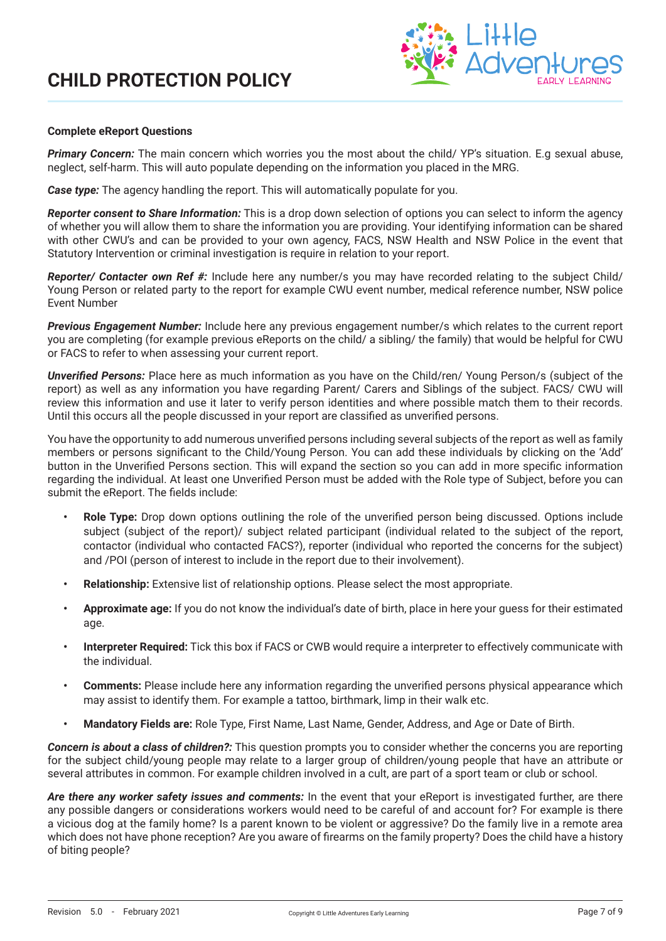

#### **Complete eReport Questions**

**Primary Concern:** The main concern which worries you the most about the child/ YP's situation. E.q sexual abuse, neglect, self-harm. This will auto populate depending on the information you placed in the MRG.

*Case type:* The agency handling the report. This will automatically populate for you.

*Reporter consent to Share Information:* This is a drop down selection of options you can select to inform the agency of whether you will allow them to share the information you are providing. Your identifying information can be shared with other CWU's and can be provided to your own agency, FACS, NSW Health and NSW Police in the event that Statutory Intervention or criminal investigation is require in relation to your report.

*Reporter/ Contacter own Ref #:* Include here any number/s you may have recorded relating to the subject Child/ Young Person or related party to the report for example CWU event number, medical reference number, NSW police Event Number

*Previous Engagement Number:* Include here any previous engagement number/s which relates to the current report you are completing (for example previous eReports on the child/ a sibling/ the family) that would be helpful for CWU or FACS to refer to when assessing your current report.

*Unverified Persons:* Place here as much information as you have on the Child/ren/ Young Person/s (subject of the report) as well as any information you have regarding Parent/ Carers and Siblings of the subject. FACS/ CWU will review this information and use it later to verify person identities and where possible match them to their records. Until this occurs all the people discussed in your report are classified as unverified persons.

You have the opportunity to add numerous unverified persons including several subjects of the report as well as family members or persons significant to the Child/Young Person. You can add these individuals by clicking on the 'Add' button in the Unverified Persons section. This will expand the section so you can add in more specific information regarding the individual. At least one Unverified Person must be added with the Role type of Subject, before you can submit the eReport. The fields include:

- **• Role Type:** Drop down options outlining the role of the unverified person being discussed. Options include subject (subject of the report)/ subject related participant (individual related to the subject of the report, contactor (individual who contacted FACS?), reporter (individual who reported the concerns for the subject) and /POI (person of interest to include in the report due to their involvement).
- **• Relationship:** Extensive list of relationship options. Please select the most appropriate.
- **• Approximate age:** If you do not know the individual's date of birth, place in here your guess for their estimated age.
- **• Interpreter Required:** Tick this box if FACS or CWB would require a interpreter to effectively communicate with the individual.
- **• Comments:** Please include here any information regarding the unverified persons physical appearance which may assist to identify them. For example a tattoo, birthmark, limp in their walk etc.
- **• Mandatory Fields are:** Role Type, First Name, Last Name, Gender, Address, and Age or Date of Birth.

*Concern is about a class of children?:* This question prompts you to consider whether the concerns you are reporting for the subject child/young people may relate to a larger group of children/young people that have an attribute or several attributes in common. For example children involved in a cult, are part of a sport team or club or school.

*Are there any worker safety issues and comments:* In the event that your eReport is investigated further, are there any possible dangers or considerations workers would need to be careful of and account for? For example is there a vicious dog at the family home? Is a parent known to be violent or aggressive? Do the family live in a remote area which does not have phone reception? Are you aware of firearms on the family property? Does the child have a history of biting people?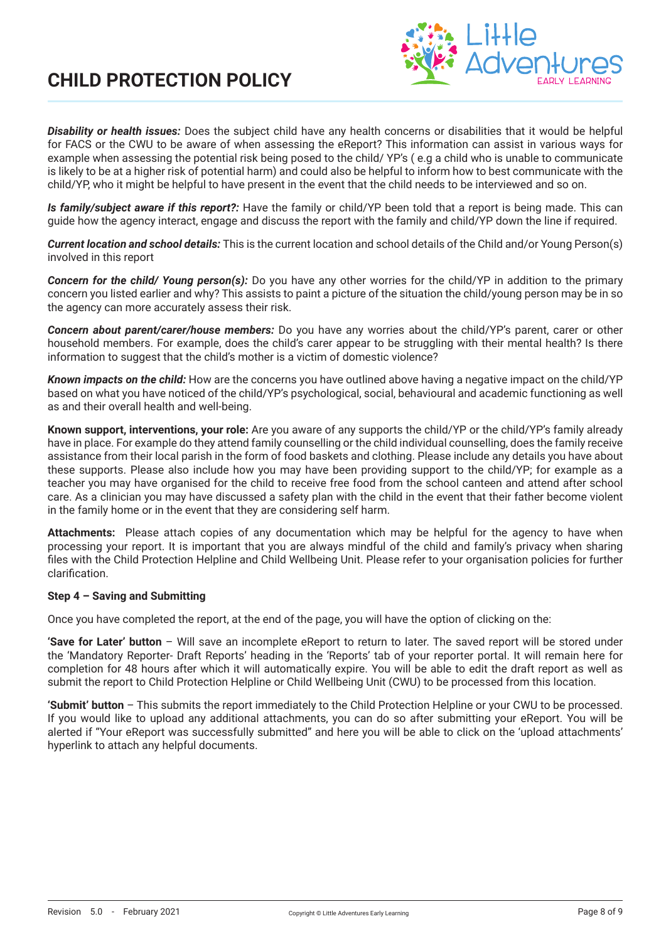

*Disability or health issues:* Does the subject child have any health concerns or disabilities that it would be helpful for FACS or the CWU to be aware of when assessing the eReport? This information can assist in various ways for example when assessing the potential risk being posed to the child/ YP's ( e.g a child who is unable to communicate is likely to be at a higher risk of potential harm) and could also be helpful to inform how to best communicate with the child/YP, who it might be helpful to have present in the event that the child needs to be interviewed and so on.

*Is family/subject aware if this report?:* Have the family or child/YP been told that a report is being made. This can guide how the agency interact, engage and discuss the report with the family and child/YP down the line if required.

*Current location and school details:* This is the current location and school details of the Child and/or Young Person(s) involved in this report

*Concern for the child/ Young person(s):* Do you have any other worries for the child/YP in addition to the primary concern you listed earlier and why? This assists to paint a picture of the situation the child/young person may be in so the agency can more accurately assess their risk.

*Concern about parent/carer/house members:* Do you have any worries about the child/YP's parent, carer or other household members. For example, does the child's carer appear to be struggling with their mental health? Is there information to suggest that the child's mother is a victim of domestic violence?

*Known impacts on the child:* How are the concerns you have outlined above having a negative impact on the child/YP based on what you have noticed of the child/YP's psychological, social, behavioural and academic functioning as well as and their overall health and well-being.

**Known support, interventions, your role:** Are you aware of any supports the child/YP or the child/YP's family already have in place. For example do they attend family counselling or the child individual counselling, does the family receive assistance from their local parish in the form of food baskets and clothing. Please include any details you have about these supports. Please also include how you may have been providing support to the child/YP; for example as a teacher you may have organised for the child to receive free food from the school canteen and attend after school care. As a clinician you may have discussed a safety plan with the child in the event that their father become violent in the family home or in the event that they are considering self harm.

**Attachments:** Please attach copies of any documentation which may be helpful for the agency to have when processing your report. It is important that you are always mindful of the child and family's privacy when sharing files with the Child Protection Helpline and Child Wellbeing Unit. Please refer to your organisation policies for further clarification.

### **Step 4 – Saving and Submitting**

Once you have completed the report, at the end of the page, you will have the option of clicking on the:

**'Save for Later' button** – Will save an incomplete eReport to return to later. The saved report will be stored under the 'Mandatory Reporter- Draft Reports' heading in the 'Reports' tab of your reporter portal. It will remain here for completion for 48 hours after which it will automatically expire. You will be able to edit the draft report as well as submit the report to Child Protection Helpline or Child Wellbeing Unit (CWU) to be processed from this location.

**'Submit' button** – This submits the report immediately to the Child Protection Helpline or your CWU to be processed. If you would like to upload any additional attachments, you can do so after submitting your eReport. You will be alerted if "Your eReport was successfully submitted" and here you will be able to click on the 'upload attachments' hyperlink to attach any helpful documents.